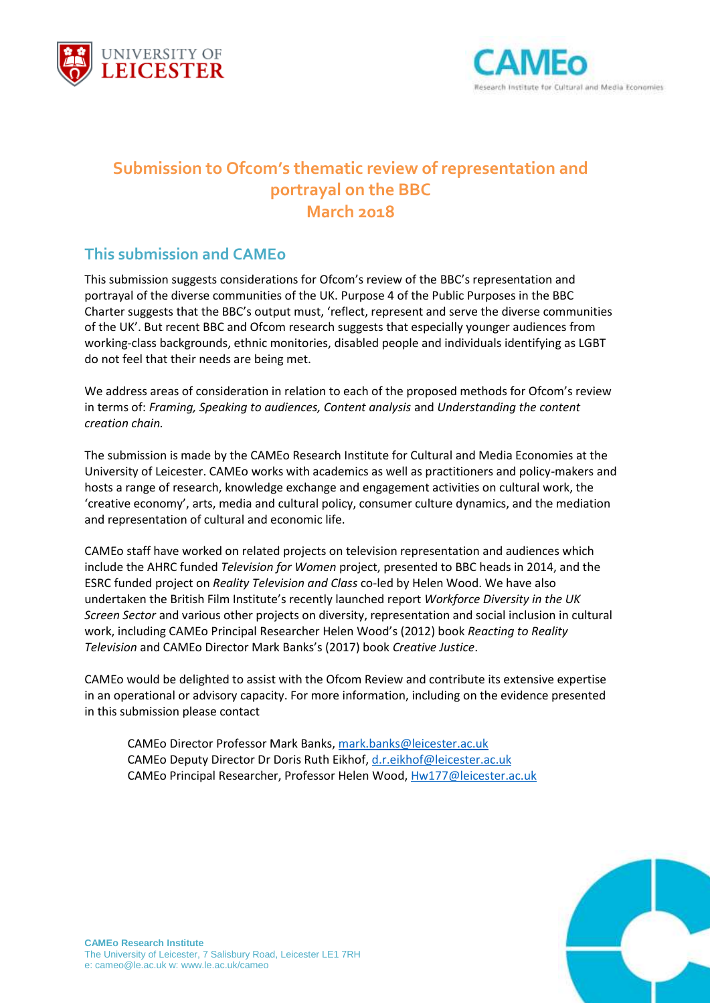



# **Submission to Ofcom's thematic review of representation and portrayal on the BBC March 2018**

## **This submission and CAMEo**

This submission suggests considerations for Ofcom's review of the BBC's representation and portrayal of the diverse communities of the UK. Purpose 4 of the Public Purposes in the BBC Charter suggests that the BBC's output must, 'reflect, represent and serve the diverse communities of the UK'. But recent BBC and Ofcom research suggests that especially younger audiences from working-class backgrounds, ethnic monitories, disabled people and individuals identifying as LGBT do not feel that their needs are being met.

We address areas of consideration in relation to each of the proposed methods for Ofcom's review in terms of: *Framing, Speaking to audiences, Content analysis* and *Understanding the content creation chain.*

The submission is made by the CAMEo Research Institute for Cultural and Media Economies at the University of Leicester. CAMEo works with academics as well as practitioners and policy-makers and hosts a range of research, knowledge exchange and engagement activities on cultural work, the 'creative economy', arts, media and cultural policy, consumer culture dynamics, and the mediation and representation of cultural and economic life.

CAMEo staff have worked on related projects on television representation and audiences which include the AHRC funded *Television for Women* project, presented to BBC heads in 2014, and the ESRC funded project on *Reality Television and Class* co-led by Helen Wood. We have also undertaken the British Film Institute's recently launched report *Workforce Diversity in the UK Screen Sector* and various other projects on diversity, representation and social inclusion in cultural work, including CAMEo Principal Researcher Helen Wood's (2012) book *Reacting to Reality Television* and CAMEo Director Mark Banks's (2017) book *Creative Justice*.

CAMEo would be delighted to assist with the Ofcom Review and contribute its extensive expertise in an operational or advisory capacity. For more information, including on the evidence presented in this submission please contact

CAMEo Director Professor Mark Banks[, mark.banks@leicester.ac.uk](mailto:mark.banks@leicester.ac.uk) CAMEo Deputy Director Dr Doris Ruth Eikhof, [d.r.eikhof@leicester.ac.uk](mailto:d.r.eikhof@leicester.ac.uk) CAMEo Principal Researcher, Professor Helen Wood[, Hw177@leicester.ac.uk](mailto:Hw177@leicester.ac.uk)

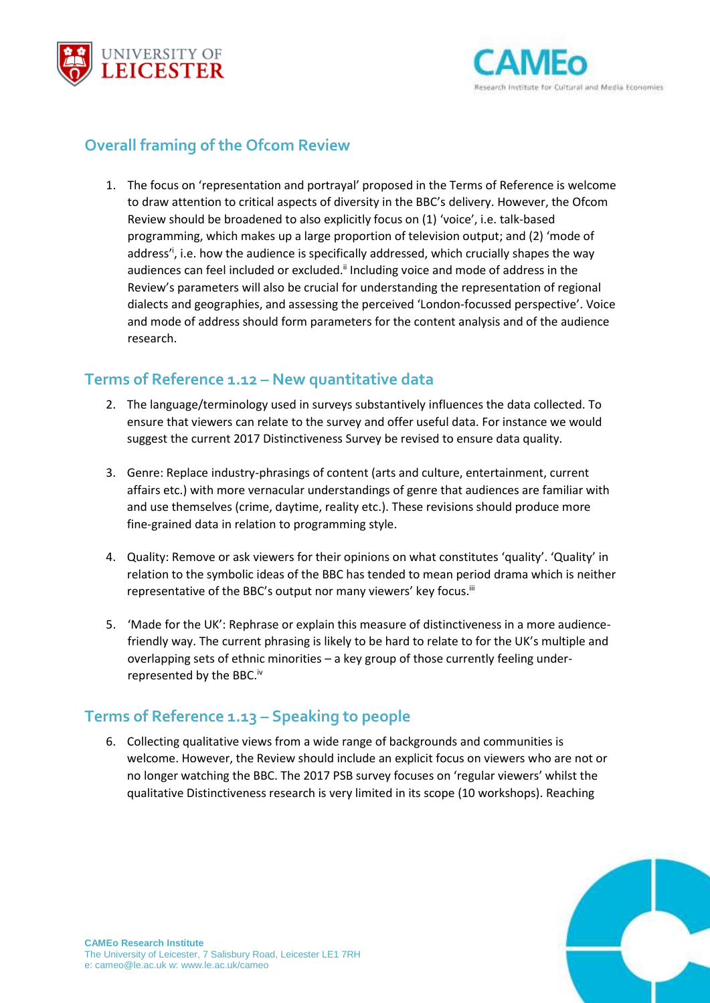



# **Overall framing of the Ofcom Review**

1. The focus on 'representation and portrayal' proposed in the Terms of Reference is welcome to draw attention to critical aspects of diversity in the BBC's delivery. However, the Ofcom Review should be broadened to also explicitly focus on (1) 'voice', i.e. talk-based programming, which makes up a large proportion of television output; and (2) 'mode of address<sup>i</sup>, i.e. how the audience is specifically addressed, which crucially shapes the way audiences can feel included or excluded.<sup>ii</sup> Including voice and mode of address in the Review's parameters will also be crucial for understanding the representation of regional dialects and geographies, and assessing the perceived 'London-focussed perspective'. Voice and mode of address should form parameters for the content analysis and of the audience research.

#### **Terms of Reference 1.12 – New quantitative data**

- 2. The language/terminology used in surveys substantively influences the data collected. To ensure that viewers can relate to the survey and offer useful data. For instance we would suggest the current 2017 Distinctiveness Survey be revised to ensure data quality.
- 3. Genre: Replace industry-phrasings of content (arts and culture, entertainment, current affairs etc.) with more vernacular understandings of genre that audiences are familiar with and use themselves (crime, daytime, reality etc.). These revisions should produce more fine-grained data in relation to programming style.
- 4. Quality: Remove or ask viewers for their opinions on what constitutes 'quality'. 'Quality' in relation to the symbolic ideas of the BBC has tended to mean period drama which is neither representative of the BBC's output nor many viewers' key focus.<sup>iii</sup>
- 5. 'Made for the UK': Rephrase or explain this measure of distinctiveness in a more audiencefriendly way. The current phrasing is likely to be hard to relate to for the UK's multiple and overlapping sets of ethnic minorities – a key group of those currently feeling underrepresented by the BBC.<sup>iv</sup>

## **Terms of Reference 1.13 – Speaking to people**

6. Collecting qualitative views from a wide range of backgrounds and communities is welcome. However, the Review should include an explicit focus on viewers who are not or no longer watching the BBC. The 2017 PSB survey focuses on 'regular viewers' whilst the qualitative Distinctiveness research is very limited in its scope (10 workshops). Reaching

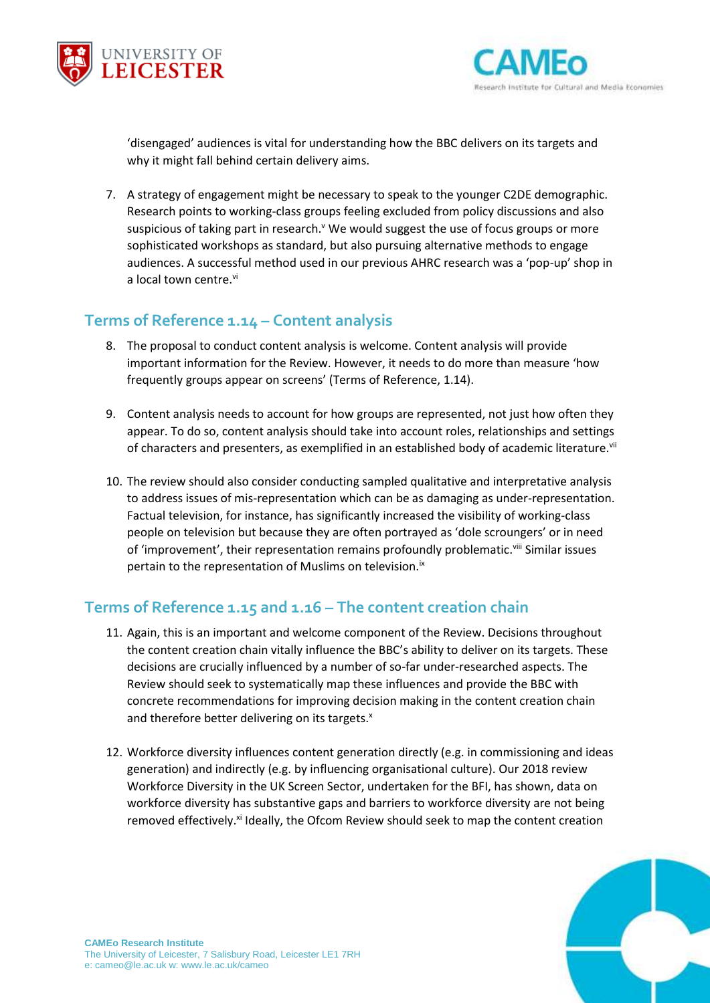



'disengaged' audiences is vital for understanding how the BBC delivers on its targets and why it might fall behind certain delivery aims.

7. A strategy of engagement might be necessary to speak to the younger C2DE demographic. Research points to working-class groups feeling excluded from policy discussions and also suspicious of taking part in research.<sup>v</sup> We would suggest the use of focus groups or more sophisticated workshops as standard, but also pursuing alternative methods to engage audiences. A successful method used in our previous AHRC research was a 'pop-up' shop in a local town centre.<sup>vi</sup>

#### **Terms of Reference 1.14 – Content analysis**

- 8. The proposal to conduct content analysis is welcome. Content analysis will provide important information for the Review. However, it needs to do more than measure 'how frequently groups appear on screens' (Terms of Reference, 1.14).
- 9. Content analysis needs to account for how groups are represented, not just how often they appear. To do so, content analysis should take into account roles, relationships and settings of characters and presenters, as exemplified in an established body of academic literature.<sup>vii</sup>
- 10. The review should also consider conducting sampled qualitative and interpretative analysis to address issues of mis-representation which can be as damaging as under-representation. Factual television, for instance, has significantly increased the visibility of working-class people on television but because they are often portrayed as 'dole scroungers' or in need of 'improvement', their representation remains profoundly problematic.<sup>viii</sup> Similar issues pertain to the representation of Muslims on television.<sup>ix</sup>

## **Terms of Reference 1.15 and 1.16 – The content creation chain**

- 11. Again, this is an important and welcome component of the Review. Decisions throughout the content creation chain vitally influence the BBC's ability to deliver on its targets. These decisions are crucially influenced by a number of so-far under-researched aspects. The Review should seek to systematically map these influences and provide the BBC with concrete recommendations for improving decision making in the content creation chain and therefore better delivering on its targets.<sup>x</sup>
- 12. Workforce diversity influences content generation directly (e.g. in commissioning and ideas generation) and indirectly (e.g. by influencing organisational culture). Our 2018 review Workforce Diversity in the UK Screen Sector, undertaken for the BFI, has shown, data on workforce diversity has substantive gaps and barriers to workforce diversity are not being removed effectively.<sup>xi</sup> Ideally, the Ofcom Review should seek to map the content creation